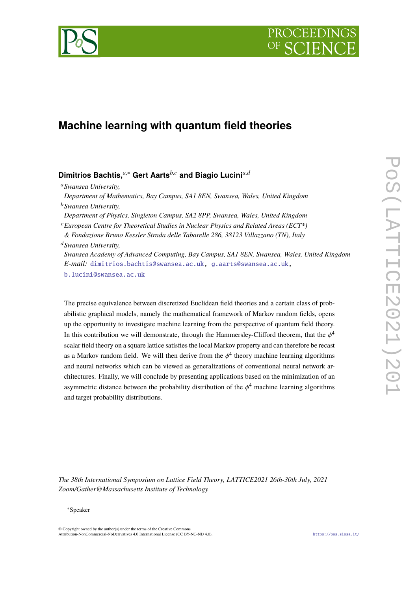PROCEEDI



### **Machine learning with quantum field theories**

### **Dimitrios Bachtis,***a*,<sup>∗</sup> **Gert Aarts***b*,*<sup>c</sup>* **and Biagio Lucini***a*,*<sup>d</sup>*

*Department of Mathematics, Bay Campus, SA1 8EN, Swansea, Wales, United Kingdom* <sup>b</sup>*Swansea University,*

*Department of Physics, Singleton Campus, SA2 8PP, Swansea, Wales, United Kingdom*

<sup>c</sup>*European Centre for Theoretical Studies in Nuclear Physics and Related Areas (ECT\*)*

*& Fondazione Bruno Kessler Strada delle Tabarelle 286, 38123 Villazzano (TN), Italy*

<sup>d</sup>*Swansea University,*

*Swansea Academy of Advanced Computing, Bay Campus, SA1 8EN, Swansea, Wales, United Kingdom E-mail:* [dimitrios.bachtis@swansea.ac.uk,](mailto:dimitrios.bachtis@swansea.ac.uk) [g.aarts@swansea.ac.uk,](mailto:g.aarts@swansea.ac.uk)

[b.lucini@swansea.ac.uk](mailto:b.lucini@swansea.ac.uk)

The precise equivalence between discretized Euclidean field theories and a certain class of probabilistic graphical models, namely the mathematical framework of Markov random fields, opens up the opportunity to investigate machine learning from the perspective of quantum field theory. In this contribution we will demonstrate, through the Hammersley-Clifford theorem, that the  $\phi^4$ scalar field theory on a square lattice satisfies the local Markov property and can therefore be recast as a Markov random field. We will then derive from the  $\phi^4$  theory machine learning algorithms and neural networks which can be viewed as generalizations of conventional neural network architectures. Finally, we will conclude by presenting applications based on the minimization of an asymmetric distance between the probability distribution of the  $\phi^4$  machine learning algorithms and target probability distributions.

*The 38th International Symposium on Lattice Field Theory, LATTICE2021 26th-30th July, 2021 Zoom/Gather@Massachusetts Institute of Technology*

#### <sup>∗</sup>Speaker

 $\odot$  Copyright owned by the author(s) under the terms of the Creative Common Attribution-NonCommercial-NoDerivatives 4.0 International License (CC BY-NC-ND 4.0). <https://pos.sissa.it/>

<sup>a</sup>*Swansea University,*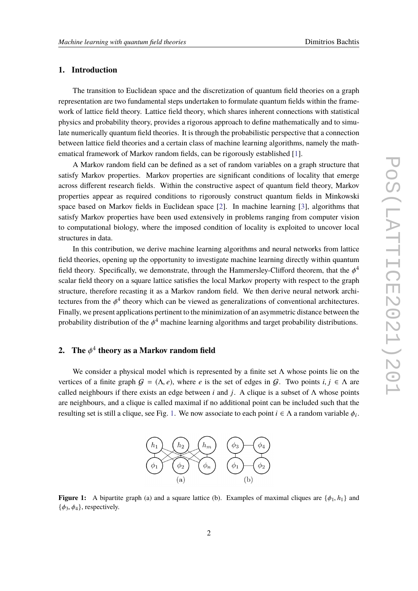#### **1. Introduction**

The transition to Euclidean space and the discretization of quantum field theories on a graph representation are two fundamental steps undertaken to formulate quantum fields within the framework of lattice field theory. Lattice field theory, which shares inherent connections with statistical physics and probability theory, provides a rigorous approach to define mathematically and to simulate numerically quantum field theories. It is through the probabilistic perspective that a connection between lattice field theories and a certain class of machine learning algorithms, namely the mathematical framework of Markov random fields, can be rigorously established [\[1\]](#page-8-0).

A Markov random field can be defined as a set of random variables on a graph structure that satisfy Markov properties. Markov properties are significant conditions of locality that emerge across different research fields. Within the constructive aspect of quantum field theory, Markov properties appear as required conditions to rigorously construct quantum fields in Minkowski space based on Markov fields in Euclidean space [\[2\]](#page-8-1). In machine learning [\[3\]](#page-8-2), algorithms that satisfy Markov properties have been used extensively in problems ranging from computer vision to computational biology, where the imposed condition of locality is exploited to uncover local structures in data.

In this contribution, we derive machine learning algorithms and neural networks from lattice field theories, opening up the opportunity to investigate machine learning directly within quantum field theory. Specifically, we demonstrate, through the Hammersley-Clifford theorem, that the  $\phi^4$ <br>coolar field theory on a square lattice seticies the local Markov menonty with respect to the create scalar field theory on a square lattice satisfies the local Markov property with respect to the graph structure, therefore recasting it as a Markov random field. We then derive neural network architectures from the  $\phi^4$  theory which can be viewed as generalizations of conventional architectures.<br>Finally, we recent applications neutinent to the minimization of an example is distance hatygen the Finally, we present applications pertinent to the minimization of an asymmetric distance between the probability distribution of the  $\phi^4$  machine learning algorithms and target probability distributions.

# **2.** The  $\phi^4$  theory as a Markov random field

<span id="page-1-0"></span>We consider a physical model which is represented by a finite set  $\Lambda$  whose points lie on the vertices of a finite graph  $G = (\Lambda, e)$ , where *e* is the set of edges in G. Two points *i*,  $j \in \Lambda$  are called neighbours if there exists an edge between *i* and *j*. A clique is a subset of  $\Lambda$  whose points are neighbours, and a clique is called maximal if no additional point can be included such that the resulting set is still a clique, see Fig. [1.](#page-1-0) We now associate to each point  $i \in \Lambda$  a random variable  $\phi_i$ .



**Figure 1:** A bipartite graph (a) and a square lattice (b). Examples of maximal cliques are  $\{\phi_1, h_1\}$  and  $\{\phi_3, \phi_4\}$ , respectively.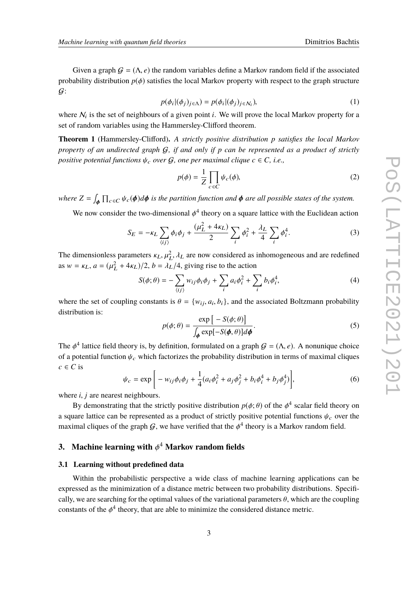Given a graph  $G = (\Lambda, e)$  the random variables define a Markov random field if the associated probability distribution  $p(\phi)$  satisfies the local Markov property with respect to the graph structure  $\mathcal{G}$ :

$$
p(\phi_i | (\phi_j)_{j \in \Lambda}) = p(\phi_i | (\phi_j)_{j \in \mathcal{N}_i}),
$$
\n(1)

where  $N_i$  is the set of neighbours of a given point *i*. We will prove the local Markov property for a set of random variables using the Hammersley-Clifford theorem.

**Theorem 1** (Hammersley-Clifford)**.** *A strictly positive distribution p satisfies the local Markov property of an undirected graph* G*, if and only if p can be represented as a product of strictly positive potential functions*  $\psi_c$  *over*  $G$ *, one per maximal clique*  $c \in C$ *, i.e.,* 

$$
p(\phi) = \frac{1}{Z} \prod_{c \in C} \psi_c(\phi),
$$
 (2)

where  $Z = \int_{\phi} \prod_{c \in C} \psi_c(\phi) d\phi$  is the partition function and  $\phi$  are all possible states of the system. φ

We now consider the two-dimensional  $\phi^4$  theory on a square lattice with the Euclidean action

$$
S_E = -\kappa_L \sum_{\langle ij \rangle} \phi_i \phi_j + \frac{(\mu_L^2 + 4\kappa_L)}{2} \sum_i \phi_i^2 + \frac{\lambda_L}{4} \sum_i \phi_i^4.
$$
 (3)

The dimensionless parameters  $\kappa_L$ ,  $\mu_L^2$ ,  $\lambda_L$  are now considered as inhomogeneous and are redefined as  $w = \kappa_L$ ,  $a = (\mu_L^2 + 4\kappa_L)/2$ ,  $b = \lambda_L/4$ , giving rise to the action

$$
S(\phi; \theta) = -\sum_{\langle ij \rangle} w_{ij} \phi_i \phi_j + \sum_i a_i \phi_i^2 + \sum_i b_i \phi_i^4,
$$
 (4)

where the set of coupling constants is  $\theta = \{w_{ij}, a_i, b_i\}$ , and the associated Boltzmann probability distribution is: distribution is:

$$
p(\phi; \theta) = \frac{\exp\left[-S(\phi; \theta)\right]}{\int_{\phi} \exp[-S(\phi, \theta)] d\phi}.
$$
 (5)

The  $\phi^4$  lattice field theory is, by definition, formulated on a graph  $G = (\Lambda, e)$ . A nonunique choice of a potential function  $\psi_c$  which factorizes the probability distribution in terms of maximal cliques  $c \in C$  is

$$
\psi_c = \exp\bigg[-w_{ij}\phi_i\phi_j + \frac{1}{4}(a_i\phi_i^2 + a_j\phi_j^2 + b_i\phi_i^4 + b_j\phi_j^4)\bigg],\tag{6}
$$

where *i*, *j* are nearest neighbours.

By demonstrating that the strictly positive distribution  $p(\phi; \theta)$  of the  $\phi^4$  scalar field theory on a square lattice can be represented as a product of strictly positive potential functions  $\psi_c$  over the maximal cliques of the graph  $G$ , we have verified that the  $\phi^4$  theory is a Markov random field.

# **3. Machine learning with** φ <sup>4</sup> **Markov random fields**

#### **3.1 Learning without predefined data**

Within the probabilistic perspective a wide class of machine learning applications can be expressed as the minimization of a distance metric between two probability distributions. Specifically, we are searching for the optimal values of the variational parameters  $\theta$ , which are the coupling constants of the  $\phi^4$  theory, that are able to minimize the considered distance metric.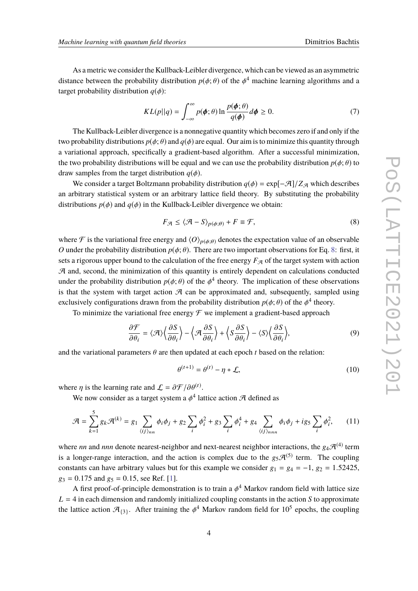As a metric we consider the Kullback-Leibler divergence, which can be viewed as an asymmetric distance between the probability distribution  $p(\phi; \theta)$  of the  $\phi^4$  machine learning algorithms and a terms the highlity distribution  $p(\phi; \theta)$ target probability distribution  $q(\phi)$ :

<span id="page-3-1"></span>
$$
KL(p||q) = \int_{-\infty}^{\infty} p(\phi; \theta) \ln \frac{p(\phi; \theta)}{q(\phi)} d\phi \ge 0.
$$
 (7)

The Kullback-Leibler divergence is a nonnegative quantity which becomes zero if and only if the two probability distributions  $p(\phi; \theta)$  and  $q(\phi)$  are equal. Our aim is to minimize this quantity through a variational approach, specifically a gradient-based algorithm. After a successful minimization, the two probability distributions will be equal and we can use the probability distribution  $p(\phi; \theta)$  to draw samples from the target distribution  $q(\phi)$ .

We consider a target Boltzmann probability distribution  $q(\phi) = \exp[-\mathcal{A}]/Z_{\mathcal{A}}$  which describes an arbitrary statistical system or an arbitrary lattice field theory. By substituting the probability distributions  $p(\phi)$  and  $q(\phi)$  in the Kullback-Leibler divergence we obtain:

<span id="page-3-0"></span>
$$
F_{\mathcal{A}} \le \langle \mathcal{A} - S \rangle_{p(\phi; \theta)} + F \equiv \mathcal{F},\tag{8}
$$

where F is the variational free energy and  $\langle O \rangle_{p(\phi;\theta)}$  denotes the expectation value of an observable *O* under the probability distribution  $p(\phi; \theta)$ . There are two important observations for Eq. [8:](#page-3-0) first, it sets a rigorous upper bound to the calculation of the free energy  $F_A$  of the target system with action  $A$  and, second, the minimization of this quantity is entirely dependent on calculations conducted under the probability distribution  $p(\phi; \theta)$  of the  $\phi^4$  theory. The implication of these observations is that the system with tenset estion  $\mathcal{I}$  son he energy moted and subsequently sempled wing is that the system with target action  $\mathcal A$  can be approximated and, subsequently, sampled using exclusively configurations drawn from the probability distribution  $p(\phi; \theta)$  of the  $\phi^4$  theory.<br>To minimize the variational free energy  $\mathcal{F}$  we implement a credient based energoes

To minimize the variational free energy  $\mathcal F$  we implement a gradient-based approach

$$
\frac{\partial \mathcal{F}}{\partial \theta_i} = \langle \mathcal{A} \rangle \left\langle \frac{\partial S}{\partial \theta_i} \right\rangle - \left\langle \mathcal{A} \frac{\partial S}{\partial \theta_i} \right\rangle + \left\langle S \frac{\partial S}{\partial \theta_i} \right\rangle - \langle S \rangle \left\langle \frac{\partial S}{\partial \theta_i} \right\rangle,\tag{9}
$$

and the variational parameters  $\theta$  are then updated at each epoch *t* based on the relation:

<span id="page-3-2"></span>
$$
\theta^{(t+1)} = \theta^{(t)} - \eta * \mathcal{L},\tag{10}
$$

where  $\eta$  is the learning rate and  $\mathcal{L} = \partial \mathcal{F} / \partial \theta^{(t)}$ .<br>We now consider as a term is the lead of the set of the set of the set of the set of the set of the set of the set of the set of the set of the set of the se

We now consider as a target system a  $\phi^4$  lattice action  $\mathcal A$  defined as

$$
\mathcal{A} = \sum_{k=1}^{5} g_k \mathcal{A}^{(k)} = g_1 \sum_{\langle ij \rangle_{nn}} \phi_i \phi_j + g_2 \sum_i \phi_i^2 + g_3 \sum_i \phi_i^4 + g_4 \sum_{\langle ij \rangle_{nnn}} \phi_i \phi_j + ig_5 \sum_i \phi_i^2, \qquad (11)
$$

where *nn* and *nnn* denote nearest-neighbor and next-nearest neighbor interactions, the  $g_4\mathcal{A}^{(4)}$  term is a longer-range interaction, and the action is complex due to the  $g_5\mathcal{A}^{(5)}$  term. The coupling constants can have arbitrary values but for this example we consider  $g_1 = g_4 = -1$ ,  $g_2 = 1.52425$ ,  $g_3 = 0.175$  and  $g_5 = 0.15$ , see Ref. [\[1\]](#page-8-0).

A first proof-of-principle demonstration is to train a  $\phi^4$  Markov random field with lattice size  $L = 4$  in each dimension and randomly initialized coupling constants in the action *S* to approximate the lattice action  $\mathcal{A}_{\{3\}}$ . After training the  $\phi^4$  Markov random field for  $10^5$  epochs, the coupling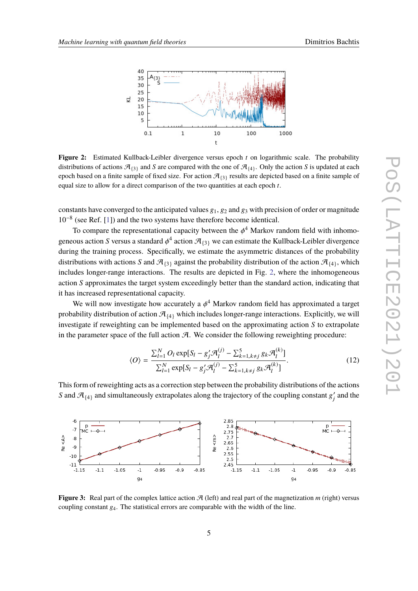<span id="page-4-0"></span>

**Figure 2:** Estimated Kullback-Leibler divergence versus epoch *t* on logarithmic scale. The probability distributions of actions  $\mathcal{A}_{3}$  and *S* are compared with the one of  $\mathcal{A}_{4}$ . Only the action *S* is updated at each epoch based on a finite sample of fixed size. For action  $\mathcal{A}_{\{3\}}$  results are depicted based on a finite sample of equal size to allow for a direct comparison of the two quantities at each epoch *t*.

constants have converged to the anticipated values  $g_1, g_2$  and  $g_3$  with precision of order or magnitude 10−<sup>8</sup> (see Ref. [\[1\]](#page-8-0)) and the two systems have therefore become identical.

To compare the representational capacity between the  $\phi^4$  Markov random field with inhomo-<br>sure action S versus a standard  $t^4$  action  $\mathcal{F}_1$  we see actionate the Kullback Leibler diversence geneous action *S* versus a standard  $\phi^4$  action  $\mathcal{A}_{\{3\}}$  we can estimate the Kullback-Leibler divergence during the training process. Specifically, we estimate the asymmetric distances of the probability distributions with actions S and  $\mathcal{A}_{3}$  against the probability distribution of the action  $\mathcal{A}_{4}$ , which includes longer-range interactions. The results are depicted in Fig. [2,](#page-4-0) where the inhomogeneous action *S* approximates the target system exceedingly better than the standard action, indicating that it has increased representational capacity.

We will now investigate how accurately a  $\phi^4$  Markov random field has approximated a target whility distribution of estion  $\mathcal{A}$ , which includes lenger range interactions. Evaliative we will probability distribution of action  $\mathcal{A}_{\{4\}}$  which includes longer-range interactions. Explicitly, we will investigate if reweighting can be implemented based on the approximating action *S* to extrapolate in the parameter space of the full action  $\mathcal{A}$ . We consider the following reweighting procedure:

$$
\langle O \rangle = \frac{\sum_{l=1}^{N} O_l \exp[S_l - g'_j \mathcal{A}_l^{(j)} - \sum_{k=1, k \neq j}^{5} g_k \mathcal{A}_l^{(k)}]}{\sum_{l=1}^{N} \exp[S_l - g'_j \mathcal{A}_l^{(j)} - \sum_{k=1, k \neq j}^{5} g_k \mathcal{A}_l^{(k)}]}.
$$
(12)

This form of reweighting acts as a correction step between the probability distributions of the actions *S* and  $\mathcal{A}_{\{4\}}$  and simultaneously extrapolates along the trajectory of the coupling constant  $g_i'$  $j'$  and the

<span id="page-4-1"></span>

**Figure 3:** Real part of the complex lattice action  $\mathcal{A}$  (left) and real part of the magnetization  $m$  (right) versus coupling constant g4. The statistical errors are comparable with the width of the line.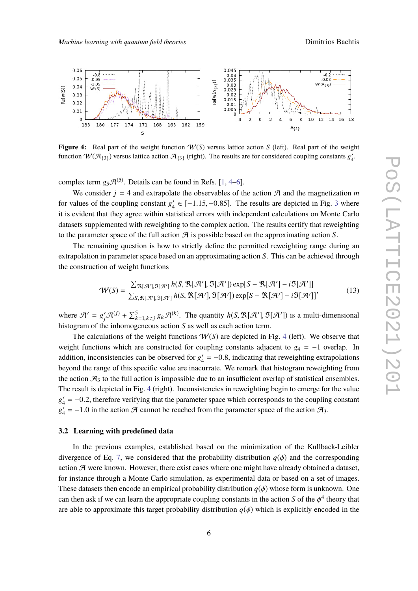<span id="page-5-0"></span>

**Figure 4:** Real part of the weight function  $W(S)$  versus lattice action *S* (left). Real part of the weight function  $W(\mathcal{A}_{\{3\}})$  versus lattice action  $\mathcal{A}_{\{3\}}$  (right). The results are for considered coupling constants  $g'_4$ .

complex term  $g_5\mathcal{A}^{(5)}$ . Details can be found in Refs. [\[1,](#page-8-0) [4–](#page-8-3)[6\]](#page-8-4).

We consider  $j = 4$  and extrapolate the observables of the action  $\mathcal{A}$  and the magnetization *m* for values of the coupling constant  $g'_{4}$  $\frac{1}{4}$  ∈ [-1.15, -0.85]. The results are depicted in Fig. [3](#page-4-1) where it is evident that they agree within statistical errors with independent calculations on Monte Carlo datasets supplemented with reweighting to the complex action. The results certify that reweighting to the parameter space of the full action  $\mathcal A$  is possible based on the approximating action  $S$ .

The remaining question is how to strictly define the permitted reweighting range during an extrapolation in parameter space based on an approximating action *S*. This can be achieved through the construction of weight functions

$$
\mathcal{W}(S) = \frac{\sum_{\mathcal{R}[\mathcal{A}'],\mathfrak{I}[\mathcal{A}']} h(S, \mathcal{R}[\mathcal{A}'], \mathfrak{I}[\mathcal{A}']) \exp[S - \mathcal{R}[\mathcal{A}'] - i\mathfrak{I}[\mathcal{A}']]}{\sum_{S, \mathcal{R}[\mathcal{A}'],\mathfrak{I}[\mathcal{A}']} h(S, \mathcal{R}[\mathcal{A}'], \mathfrak{I}[\mathcal{A}']) \exp[S - \mathcal{R}[\mathcal{A}'] - i\mathfrak{I}[\mathcal{A}']]}.
$$
(13)

where  $\mathcal{A}' = g'_j \mathcal{A}^{(j)} + \sum_{k=1, k \neq j}^5 g_k \mathcal{A}^{(k)}$ . The quantity  $h(S, \mathcal{R}[\mathcal{A}'], \mathcal{I}[\mathcal{A}'])$  is a multi-dimensional histogram of the inhomographic section S as well as each action term histogram of the inhomogeneous action *S* as well as each action term.

The calculations of the weight functions  $W(S)$  are depicted in Fig. [4](#page-5-0) (left). We observe that weight functions which are constructed for coupling constants adjacent to  $g_4 = -1$  overlap. In addition, inconsistencies can be observed for  $g_4$  $\mu_4' = -0.8$ , indicating that reweighting extrapolations beyond the range of this specific value are inacurrate. We remark that histogram reweighting from the action  $\mathcal{A}_3$  to the full action is impossible due to an insufficient overlap of statistical ensembles. The result is depicted in Fig. [4](#page-5-0) (right). Inconsistencies in reweighting begin to emerge for the value  $g'_{4}$  $\frac{1}{4} = -0.2$ , therefore verifying that the parameter space which corresponds to the coupling constant  $\frac{1}{4} = -1.0$  in the action  $\pi$  connect be reached from the parameter ances of the action  $\pi$  $g'_{4}$  $\gamma_4' = -1.0$  in the action  $\mathcal A$  cannot be reached from the parameter space of the action  $\mathcal A_3$ .

#### **3.2 Learning with predefined data**

In the previous examples, established based on the minimization of the Kullback-Leibler divergence of Eq. [7,](#page-3-1) we considered that the probability distribution  $q(\phi)$  and the corresponding action  $\mathcal A$  were known. However, there exist cases where one might have already obtained a dataset, for instance through a Monte Carlo simulation, as experimental data or based on a set of images. These datasets then encode an empirical probability distribution  $q(\phi)$  whose form is unknown. One can then ask if we can learn the appropriate coupling constants in the action *S* of the  $\phi^4$  theory that are able to approximate this target probability distribution  $q(\phi)$  which is explicitly encoded in the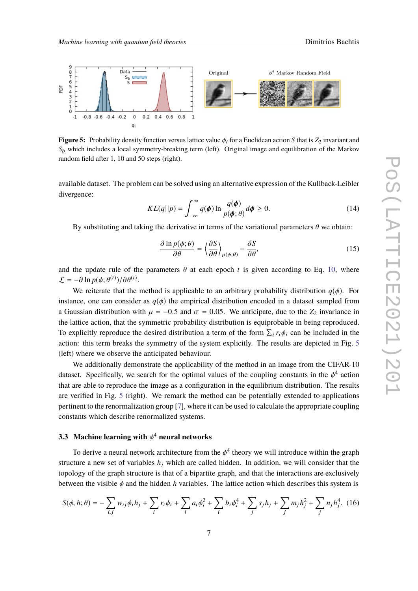<span id="page-6-0"></span>

**Figure 5:** Probability density function versus lattice value  $\phi_i$  for a Euclidean action *S* that is  $Z_2$  invariant and *S*<sup>b</sup> which includes a local symmetry-breaking term (left). Original image and equilibration of the Markov random field after 1, 10 and 50 steps (right).

available dataset. The problem can be solved using an alternative expression of the Kullback-Leibler divergence:

$$
KL(q||p) = \int_{-\infty}^{\infty} q(\phi) \ln \frac{q(\phi)}{p(\phi; \theta)} d\phi \ge 0.
$$
 (14)

By substituting and taking the derivative in terms of the variational parameters  $\theta$  we obtain:

$$
\frac{\partial \ln p(\phi; \theta)}{\partial \theta} = \left\langle \frac{\partial S}{\partial \theta} \right\rangle_{p(\phi; \theta)} - \frac{\partial S}{\partial \theta},\tag{15}
$$

and the update rule of the parameters  $\theta$  at each epoch *t* is given according to Eq. [10,](#page-3-2) where  $\mathcal{L} = -\partial \ln p(\phi; \theta^{(t)}) / \partial \theta^{(t)}.$ <br>We assume that the

We reiterate that the method is applicable to an arbitrary probability distribution  $q(\phi)$ . For instance, one can consider as  $q(\phi)$  the empirical distribution encoded in a dataset sampled from a Gaussian distribution with  $\mu = -0.5$  and  $\sigma = 0.05$ . We anticipate, due to the  $Z_2$  invariance in the lattice action, that the symmetric probability distribution is equiprobable in being reproduced. To explicitly reproduce the desired distribution a term of the form  $\sum_i r_i \phi_i$  can be included in the exitency this term healts the symmetry of the system evolution. The genuits are depicted in Fig. 5. action: this term breaks the symmetry of the system explicitly. The results are depicted in Fig. [5](#page-6-0) (left) where we observe the anticipated behaviour.

We additionally demonstrate the applicability of the method in an image from the CIFAR-10 dataset. Specifically, we search for the optimal values of the coupling constants in the  $\phi^4$  action<br>that are able to gaugeduce the image as a configuration in the coulibrium distribution. The gaughts that are able to reproduce the image as a configuration in the equilibrium distribution. The results are verified in Fig. [5](#page-6-0) (right). We remark the method can be potentially extended to applications pertinent to the renormalization group [\[7\]](#page-8-5), where it can be used to calculate the appropriate coupling constants which describe renormalized systems.

### **3.3 Machine learning with** φ <sup>4</sup> **neural networks**

To derive a neural network architecture from the  $\phi^4$  theory we will introduce within the graph<br>ture a new set of veriables  $h$ , which are salled hidden. In addition, we will consider that the structure a new set of variables  $h_j$  which are called hidden. In addition, we will consider that the topology of the graph structure is that of a bipartite graph, and that the interactions are exclusively between the visible  $\phi$  and the hidden *h* variables. The lattice action which describes this system is

<span id="page-6-1"></span>
$$
S(\phi, h; \theta) = -\sum_{i,j} w_{ij} \phi_i h_j + \sum_i r_i \phi_i + \sum_i a_i \phi_i^2 + \sum_i b_i \phi_i^4 + \sum_j s_j h_j + \sum_j m_j h_j^2 + \sum_j n_j h_j^4. \tag{16}
$$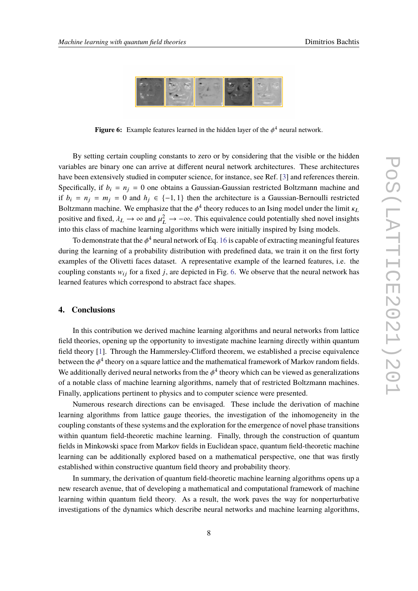<span id="page-7-0"></span>

**Figure 6:** Example features learned in the hidden layer of the  $\phi^4$  neural network.

By setting certain coupling constants to zero or by considering that the visible or the hidden variables are binary one can arrive at different neural network architectures. These architectures have been extensively studied in computer science, for instance, see Ref. [\[3\]](#page-8-2) and references therein. Specifically, if  $b_i = n_j = 0$  one obtains a Gaussian-Gaussian restricted Boltzmann machine and if  $b_i = n_i = m_i = 0$  and  $h_i \in \{-1, 1\}$  then the architecture is a Gaussian-Bernoulli restricted Boltzmann machine. We emphasize that the  $\phi^4$  theory reduces to an Ising model under the limit  $\kappa_L$ positive and fixed,  $\lambda_L \to \infty$  and  $\mu_L^2 \to -\infty$ . This equivalence could potentially shed novel insights into this also of moshing lagrating algorithms which were initially inspired by Jeina models. into this class of machine learning algorithms which were initially inspired by Ising models.

To demonstrate that the  $\phi^4$  neural network of Eq. [16](#page-6-1) is capable of extracting meaningful features during the learning of a probability distribution with predefined data, we train it on the first forty examples of the Olivetti faces dataset. A representative example of the learned features, i.e. the coupling constants  $w_{ij}$  for a fixed *j*, are depicted in Fig. [6.](#page-7-0) We observe that the neural network has learned features which correspond to abstract face shapes.

#### **4. Conclusions**

In this contribution we derived machine learning algorithms and neural networks from lattice field theories, opening up the opportunity to investigate machine learning directly within quantum field theory [\[1\]](#page-8-0). Through the Hammersley-Clifford theorem, we established a precise equivalence between the  $\phi^4$  theory on a square lattice and the mathematical framework of Markov random fields.<br>We additionally derived naural naturalis from the 44 theory which can be viewed as concreligations. We additionally derived neural networks from the  $\phi^4$  theory which can be viewed as generalizations of a notable alone of maghine logaring algorithms, namely that of restricted Boltzmann maghines of a notable class of machine learning algorithms, namely that of restricted Boltzmann machines. Finally, applications pertinent to physics and to computer science were presented.

Numerous research directions can be envisaged. These include the derivation of machine learning algorithms from lattice gauge theories, the investigation of the inhomogeneity in the coupling constants of these systems and the exploration for the emergence of novel phase transitions within quantum field-theoretic machine learning. Finally, through the construction of quantum fields in Minkowski space from Markov fields in Euclidean space, quantum field-theoretic machine learning can be additionally explored based on a mathematical perspective, one that was firstly established within constructive quantum field theory and probability theory.

In summary, the derivation of quantum field-theoretic machine learning algorithms opens up a new research avenue, that of developing a mathematical and computational framework of machine learning within quantum field theory. As a result, the work paves the way for nonperturbative investigations of the dynamics which describe neural networks and machine learning algorithms,